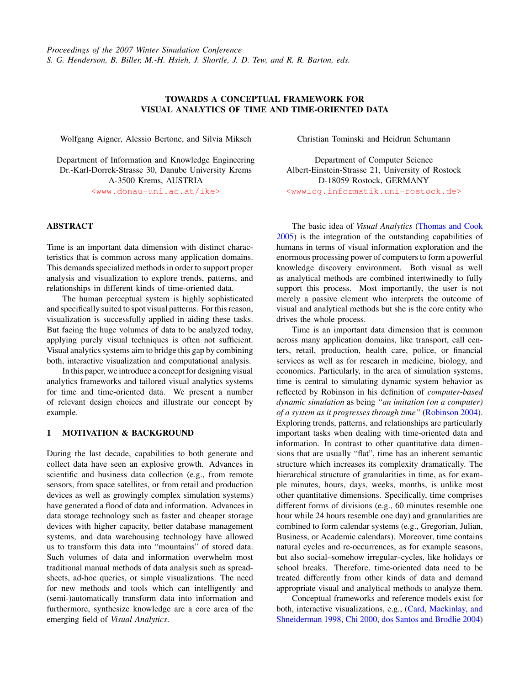# TOWARDS A CONCEPTUAL FRAMEWORK FOR VISUAL ANALYTICS OF TIME AND TIME-ORIENTED DATA

Wolfgang Aigner, Alessio Bertone, and Silvia Miksch

Department of Information and Knowledge Engineering Dr.-Karl-Dorrek-Strasse 30, Danube University Krems A-3500 Krems, AUSTRIA [<www.donau-uni.ac.at/ike>](http://www.donau-uni.ac.at/ike)

## ABSTRACT

Time is an important data dimension with distinct characteristics that is common across many application domains. This demands specialized methods in order to support proper analysis and visualization to explore trends, patterns, and relationships in different kinds of time-oriented data.

The human perceptual system is highly sophisticated and specifically suited to spot visual patterns. For this reason, visualization is successfully applied in aiding these tasks. But facing the huge volumes of data to be analyzed today, applying purely visual techniques is often not sufficient. Visual analytics systems aim to bridge this gap by combining both, interactive visualization and computational analysis.

In this paper, we introduce a concept for designing visual analytics frameworks and tailored visual analytics systems for time and time-oriented data. We present a number of relevant design choices and illustrate our concept by example.

## 1 MOTIVATION & BACKGROUND

During the last decade, capabilities to both generate and collect data have seen an explosive growth. Advances in scientific and business data collection (e.g., from remote sensors, from space satellites, or from retail and production devices as well as growingly complex simulation systems) have generated a flood of data and information. Advances in data storage technology such as faster and cheaper storage devices with higher capacity, better database management systems, and data warehousing technology have allowed us to transform this data into "mountains" of stored data. Such volumes of data and information overwhelm most traditional manual methods of data analysis such as spreadsheets, ad-hoc queries, or simple visualizations. The need for new methods and tools which can intelligently and (semi-)automatically transform data into information and furthermore, synthesize knowledge are a core area of the emerging field of *Visual Analytics*.

Christian Tominski and Heidrun Schumann

Department of Computer Science Albert-Einstein-Strasse 21, University of Rostock D-18059 Rostock, GERMANY [<wwwicg.informatik.uni-rostock.de>](http://wwwicg.informatik.uni-rostock.de)

The basic idea of *Visual Analytics* [\(Thomas and Cook](#page-8-0) [2005\)](#page-8-0) is the integration of the outstanding capabilities of humans in terms of visual information exploration and the enormous processing power of computers to form a powerful knowledge discovery environment. Both visual as well as analytical methods are combined intertwinedly to fully support this process. Most importantly, the user is not merely a passive element who interprets the outcome of visual and analytical methods but she is the core entity who drives the whole process.

Time is an important data dimension that is common across many application domains, like transport, call centers, retail, production, health care, police, or financial services as well as for research in medicine, biology, and economics. Particularly, in the area of simulation systems, time is central to simulating dynamic system behavior as reflected by Robinson in his definition of *computer-based dynamic simulation* as being *"an imitation (on a computer) of a system as it progresses through time"* [\(Robinson 2004\)](#page-8-1). Exploring trends, patterns, and relationships are particularly important tasks when dealing with time-oriented data and information. In contrast to other quantitative data dimensions that are usually "flat", time has an inherent semantic structure which increases its complexity dramatically. The hierarchical structure of granularities in time, as for example minutes, hours, days, weeks, months, is unlike most other quantitative dimensions. Specifically, time comprises different forms of divisions (e.g., 60 minutes resemble one hour while 24 hours resemble one day) and granularities are combined to form calendar systems (e.g., Gregorian, Julian, Business, or Academic calendars). Moreover, time contains natural cycles and re-occurrences, as for example seasons, but also social–somehow irregular–cycles, like holidays or school breaks. Therefore, time-oriented data need to be treated differently from other kinds of data and demand appropriate visual and analytical methods to analyze them.

Conceptual frameworks and reference models exist for both, interactive visualizations, e.g., [\(Card, Mackinlay, and](#page-8-2) [Shneiderman 1998,](#page-8-2) [Chi 2000,](#page-8-3) [dos Santos and Brodlie 2004\)](#page-8-4)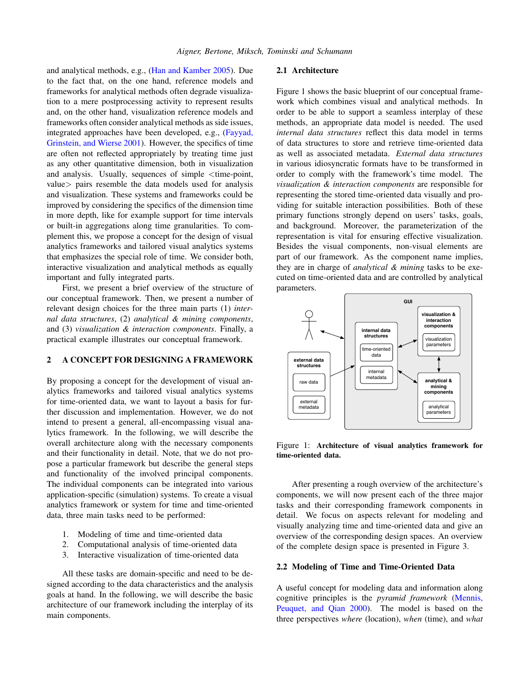and analytical methods, e.g., [\(Han and Kamber 2005\)](#page-8-5). Due to the fact that, on the one hand, reference models and frameworks for analytical methods often degrade visualization to a mere postprocessing activity to represent results and, on the other hand, visualization reference models and frameworks often consider analytical methods as side issues, integrated approaches have been developed, e.g., [\(Fayyad,](#page-8-6) [Grinstein, and Wierse 2001\)](#page-8-6). However, the specifics of time are often not reflected appropriately by treating time just as any other quantitative dimension, both in visualization and analysis. Usually, sequences of simple <time-point, value> pairs resemble the data models used for analysis and visualization. These systems and frameworks could be improved by considering the specifics of the dimension time in more depth, like for example support for time intervals or built-in aggregations along time granularities. To complement this, we propose a concept for the design of visual analytics frameworks and tailored visual analytics systems that emphasizes the special role of time. We consider both, interactive visualization and analytical methods as equally important and fully integrated parts.

First, we present a brief overview of the structure of our conceptual framework. Then, we present a number of relevant design choices for the three main parts (1) *internal data structures*, (2) *analytical & mining components*, and (3) *visualization & interaction components*. Finally, a practical example illustrates our conceptual framework.

#### 2 A CONCEPT FOR DESIGNING A FRAMEWORK

By proposing a concept for the development of visual analytics frameworks and tailored visual analytics systems for time-oriented data, we want to layout a basis for further discussion and implementation. However, we do not intend to present a general, all-encompassing visual analytics framework. In the following, we will describe the overall architecture along with the necessary components and their functionality in detail. Note, that we do not propose a particular framework but describe the general steps and functionality of the involved principal components. The individual components can be integrated into various application-specific (simulation) systems. To create a visual analytics framework or system for time and time-oriented data, three main tasks need to be performed:

- 1. Modeling of time and time-oriented data
- 2. Computational analysis of time-oriented data
- 3. Interactive visualization of time-oriented data

All these tasks are domain-specific and need to be designed according to the data characteristics and the analysis goals at hand. In the following, we will describe the basic architecture of our framework including the interplay of its main components.

#### 2.1 Architecture

Figure [1](#page-1-0) shows the basic blueprint of our conceptual framework which combines visual and analytical methods. In order to be able to support a seamless interplay of these methods, an appropriate data model is needed. The used *internal data structures* reflect this data model in terms of data structures to store and retrieve time-oriented data as well as associated metadata. *External data structures* in various idiosyncratic formats have to be transformed in order to comply with the framework's time model. The *visualization & interaction components* are responsible for representing the stored time-oriented data visually and providing for suitable interaction possibilities. Both of these primary functions strongly depend on users' tasks, goals, and background. Moreover, the parameterization of the representation is vital for ensuring effective visualization. Besides the visual components, non-visual elements are part of our framework. As the component name implies, they are in charge of *analytical & mining* tasks to be executed on time-oriented data and are controlled by analytical parameters.



<span id="page-1-0"></span>Figure 1: Architecture of visual analytics framework for time-oriented data.

After presenting a rough overview of the architecture's components, we will now present each of the three major tasks and their corresponding framework components in detail. We focus on aspects relevant for modeling and visually analyzing time and time-oriented data and give an overview of the corresponding design spaces. An overview of the complete design space is presented in Figure [3.](#page-6-0)

#### 2.2 Modeling of Time and Time-Oriented Data

A useful concept for modeling data and information along cognitive principles is the *pyramid framework* [\(Mennis,](#page-8-7) [Peuquet, and Qian 2000\)](#page-8-7). The model is based on the three perspectives *where* (location), *when* (time), and *what*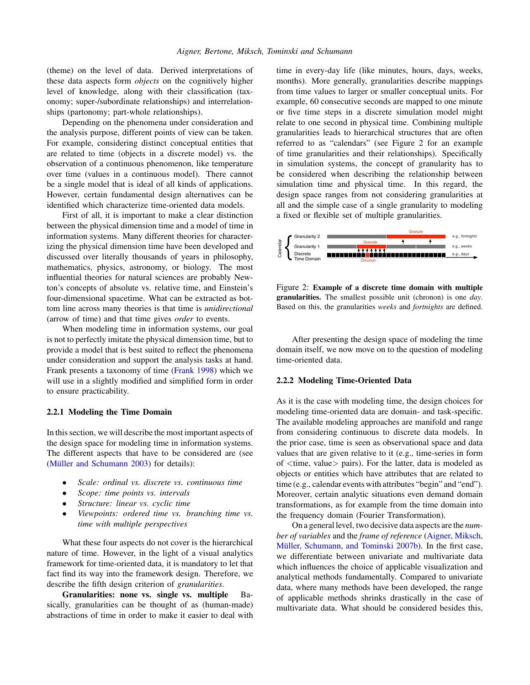(theme) on the level of data. Derived interpretations of these data aspects form *objects* on the cognitively higher level of knowledge, along with their classification (taxonomy; super-/subordinate relationships) and interrelationships (partonomy; part-whole relationships).

Depending on the phenomena under consideration and the analysis purpose, different points of view can be taken. For example, considering distinct conceptual entities that are related to time (objects in a discrete model) vs. the observation of a continuous phenomenon, like temperature over time (values in a continuous model). There cannot be a single model that is ideal of all kinds of applications. However, certain fundamental design alternatives can be identified which characterize time-oriented data models.

First of all, it is important to make a clear distinction between the physical dimension time and a model of time in information systems. Many different theories for characterizing the physical dimension time have been developed and discussed over literally thousands of years in philosophy, mathematics, physics, astronomy, or biology. The most influential theories for natural sciences are probably Newton's concepts of absolute vs. relative time, and Einstein's four-dimensional spacetime. What can be extracted as bottom line across many theories is that time is *unidirectional* (arrow of time) and that time gives *order* to events.

When modeling time in information systems, our goal is not to perfectly imitate the physical dimension time, but to provide a model that is best suited to reflect the phenomena under consideration and support the analysis tasks at hand. Frank presents a taxonomy of time [\(Frank 1998\)](#page-8-8) which we will use in a slightly modified and simplified form in order to ensure practicability.

#### 2.2.1 Modeling the Time Domain

In this section, we will describe the most important aspects of the design space for modeling time in information systems. The different aspects that have to be considered are (see (Müller and Schumann  $2003$ ) for details):

- *Scale: ordinal vs. discrete vs. continuous time*
- *Scope: time points vs. intervals*
- *Structure: linear vs. cyclic time*
- *Viewpoints: ordered time vs. branching time vs. time with multiple perspectives*

What these four aspects do not cover is the hierarchical nature of time. However, in the light of a visual analytics framework for time-oriented data, it is mandatory to let that fact find its way into the framework design. Therefore, we describe the fifth design criterion of *granularities*.

Granularities: none vs. single vs. multiple Basically, granularities can be thought of as (human-made) abstractions of time in order to make it easier to deal with

time in every-day life (like minutes, hours, days, weeks, months). More generally, granularities describe mappings from time values to larger or smaller conceptual units. For example, 60 consecutive seconds are mapped to one minute or five time steps in a discrete simulation model might relate to one second in physical time. Combining multiple granularities leads to hierarchical structures that are often referred to as "calendars" (see Figure [2](#page-2-0) for an example of time granularities and their relationships). Specifically in simulation systems, the concept of granularity has to be considered when describing the relationship between simulation time and physical time. In this regard, the design space ranges from not considering granularities at all and the simple case of a single granularity to modeling a fixed or flexible set of multiple granularities.



<span id="page-2-0"></span>Figure 2: Example of a discrete time domain with multiple granularities. The smallest possible unit (chronon) is one *day*. Based on this, the granularities *weeks* and *fortnights* are defined.

After presenting the design space of modeling the time domain itself, we now move on to the question of modeling time-oriented data.

## <span id="page-2-1"></span>2.2.2 Modeling Time-Oriented Data

As it is the case with modeling time, the design choices for modeling time-oriented data are domain- and task-specific. The available modeling approaches are manifold and range from considering continuous to discrete data models. In the prior case, time is seen as observational space and data values that are given relative to it (e.g., time-series in form of <time, value> pairs). For the latter, data is modeled as objects or entities which have attributes that are related to time (e.g., calendar events with attributes "begin" and "end"). Moreover, certain analytic situations even demand domain transformations, as for example from the time domain into the frequency domain (Fourier Transformation).

On a general level, two decisive data aspects are the *number of variables* and the *frame of reference* [\(Aigner, Miksch,](#page-7-0) Müller, Schumann, and Tominski 2007b). In the first case, we differentiate between univariate and multivariate data which influences the choice of applicable visualization and analytical methods fundamentally. Compared to univariate data, where many methods have been developed, the range of applicable methods shrinks drastically in the case of multivariate data. What should be considered besides this,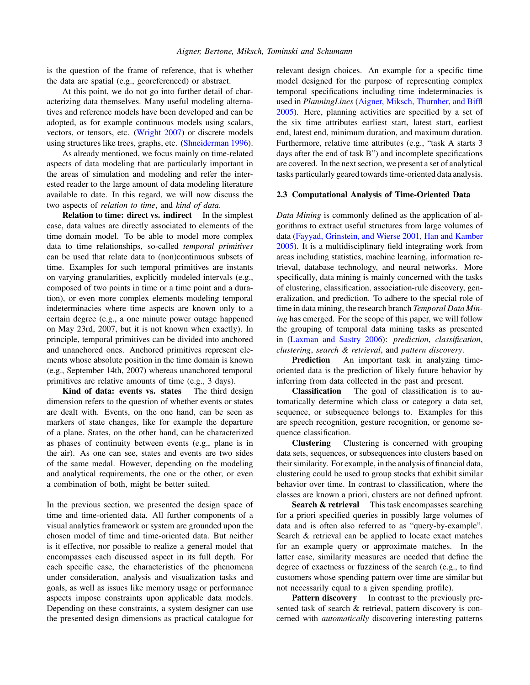is the question of the frame of reference, that is whether the data are spatial (e.g., georeferenced) or abstract.

At this point, we do not go into further detail of characterizing data themselves. Many useful modeling alternatives and reference models have been developed and can be adopted, as for example continuous models using scalars, vectors, or tensors, etc. [\(Wright 2007\)](#page-8-10) or discrete models using structures like trees, graphs, etc. [\(Shneiderman 1996\)](#page-8-11).

As already mentioned, we focus mainly on time-related aspects of data modeling that are particularly important in the areas of simulation and modeling and refer the interested reader to the large amount of data modeling literature available to date. In this regard, we will now discuss the two aspects of *relation to time*, and *kind of data*.

Relation to time: direct vs. indirect In the simplest case, data values are directly associated to elements of the time domain model. To be able to model more complex data to time relationships, so-called *temporal primitives* can be used that relate data to (non)continuous subsets of time. Examples for such temporal primitives are instants on varying granularities, explicitly modeled intervals (e.g., composed of two points in time or a time point and a duration), or even more complex elements modeling temporal indeterminacies where time aspects are known only to a certain degree (e.g., a one minute power outage happened on May 23rd, 2007, but it is not known when exactly). In principle, temporal primitives can be divided into anchored and unanchored ones. Anchored primitives represent elements whose absolute position in the time domain is known (e.g., September 14th, 2007) whereas unanchored temporal primitives are relative amounts of time (e.g., 3 days).

Kind of data: events vs. states The third design dimension refers to the question of whether events or states are dealt with. Events, on the one hand, can be seen as markers of state changes, like for example the departure of a plane. States, on the other hand, can be characterized as phases of continuity between events (e.g., plane is in the air). As one can see, states and events are two sides of the same medal. However, depending on the modeling and analytical requirements, the one or the other, or even a combination of both, might be better suited.

In the previous section, we presented the design space of time and time-oriented data. All further components of a visual analytics framework or system are grounded upon the chosen model of time and time-oriented data. But neither is it effective, nor possible to realize a general model that encompasses each discussed aspect in its full depth. For each specific case, the characteristics of the phenomena under consideration, analysis and visualization tasks and goals, as well as issues like memory usage or performance aspects impose constraints upon applicable data models. Depending on these constraints, a system designer can use the presented design dimensions as practical catalogue for

relevant design choices. An example for a specific time model designed for the purpose of representing complex temporal specifications including time indeterminacies is used in *PlanningLines* [\(Aigner, Miksch, Thurnher, and Biffl](#page-7-1) [2005\)](#page-7-1). Here, planning activities are specified by a set of the six time attributes earliest start, latest start, earliest end, latest end, minimum duration, and maximum duration. Furthermore, relative time attributes (e.g., "task A starts 3 days after the end of task B") and incomplete specifications are covered. In the next section, we present a set of analytical tasks particularly geared towards time-oriented data analysis.

#### 2.3 Computational Analysis of Time-Oriented Data

*Data Mining* is commonly defined as the application of algorithms to extract useful structures from large volumes of data [\(Fayyad, Grinstein, and Wierse 2001,](#page-8-6) [Han and Kamber](#page-8-5) [2005\)](#page-8-5). It is a multidisciplinary field integrating work from areas including statistics, machine learning, information retrieval, database technology, and neural networks. More specifically, data mining is mainly concerned with the tasks of clustering, classification, association-rule discovery, generalization, and prediction. To adhere to the special role of time in data mining, the research branch *Temporal Data Mining* has emerged. For the scope of this paper, we will follow the grouping of temporal data mining tasks as presented in [\(Laxman and Sastry 2006\)](#page-8-12): *prediction*, *classification*, *clustering*, *search & retrieval*, and *pattern discovery*.

Prediction An important task in analyzing timeoriented data is the prediction of likely future behavior by inferring from data collected in the past and present.

Classification The goal of classification is to automatically determine which class or category a data set, sequence, or subsequence belongs to. Examples for this are speech recognition, gesture recognition, or genome sequence classification.

Clustering Clustering is concerned with grouping data sets, sequences, or subsequences into clusters based on their similarity. For example, in the analysis of financial data, clustering could be used to group stocks that exhibit similar behavior over time. In contrast to classification, where the classes are known a priori, clusters are not defined upfront.

Search & retrieval This task encompasses searching for a priori specified queries in possibly large volumes of data and is often also referred to as "query-by-example". Search & retrieval can be applied to locate exact matches for an example query or approximate matches. In the latter case, similarity measures are needed that define the degree of exactness or fuzziness of the search (e.g., to find customers whose spending pattern over time are similar but not necessarily equal to a given spending profile).

Pattern discovery In contrast to the previously presented task of search & retrieval, pattern discovery is concerned with *automatically* discovering interesting patterns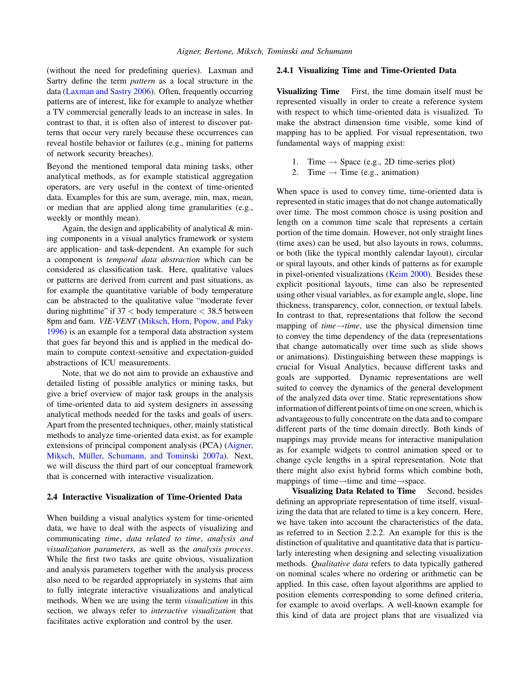(without the need for predefining queries). Laxman and Sartry define the term *pattern* as a local structure in the data [\(Laxman and Sastry 2006\)](#page-8-12). Often, frequently occurring patterns are of interest, like for example to analyze whether a TV commercial generally leads to an increase in sales. In contrast to that, it is often also of interest to discover patterns that occur very rarely because these occurrences can reveal hostile behavior or failures (e.g., mining for patterns of network security breaches).

Beyond the mentioned temporal data mining tasks, other analytical methods, as for example statistical aggregation operators, are very useful in the context of time-oriented data. Examples for this are sum, average, min, max, mean, or median that are applied along time granularities (e.g., weekly or monthly mean).

Again, the design and applicability of analytical  $&$  mining components in a visual analytics framework or system are application- and task-dependent. An example for such a component is *temporal data abstraction* which can be considered as classification task. Here, qualitative values or patterns are derived from current and past situations, as for example the quantitative variable of body temperature can be abstracted to the qualitative value "moderate fever during nighttime" if  $37 <$  body temperature  $<$  38.5 between 8pm and 6am. *VIE-VENT* [\(Miksch, Horn, Popow, and Paky](#page-8-13) [1996\)](#page-8-13) is an example for a temporal data abstraction system that goes far beyond this and is applied in the medical domain to compute context-sensitive and expectation-guided abstractions of ICU measurements.

Note, that we do not aim to provide an exhaustive and detailed listing of possible analytics or mining tasks, but give a brief overview of major task groups in the analysis of time-oriented data to aid system designers in assessing analytical methods needed for the tasks and goals of users. Apart from the presented techniques, other, mainly statistical methods to analyze time-oriented data exist, as for example extensions of principal component analysis (PCA) [\(Aigner,](#page-7-2) Miksch, Müller, Schumann, and Tominski 2007a). Next, we will discuss the third part of our conceptual framework that is concerned with interactive visualization.

#### 2.4 Interactive Visualization of Time-Oriented Data

When building a visual analytics system for time-oriented data, we have to deal with the aspects of visualizing and communicating *time*, *data related to time*, *analysis and visualization parameters*, as well as the *analysis process*. While the first two tasks are quite obvious, visualization and analysis parameters together with the analysis process also need to be regarded appropriately in systems that aim to fully integrate interactive visualizations and analytical methods. When we are using the term *visualization* in this section, we always refer to *interactive visualization* that facilitates active exploration and control by the user.

#### 2.4.1 Visualizing Time and Time-Oriented Data

Visualizing Time First, the time domain itself must be represented visually in order to create a reference system with respect to which time-oriented data is visualized. To make the abstract dimension time visible, some kind of mapping has to be applied. For visual representation, two fundamental ways of mapping exist:

- 1. Time  $\rightarrow$  Space (e.g., 2D time-series plot)
- 2. Time  $\rightarrow$  Time (e.g., animation)

When space is used to convey time, time-oriented data is represented in static images that do not change automatically over time. The most common choice is using position and length on a common time scale that represents a certain portion of the time domain. However, not only straight lines (time axes) can be used, but also layouts in rows, columns, or both (like the typical monthly calendar layout), circular or spiral layouts, and other kinds of patterns as for example in pixel-oriented visualizations [\(Keim 2000\)](#page-8-14). Besides these explicit positional layouts, time can also be represented using other visual variables, as for example angle, slope, line thickness, transparency, color, connection, or textual labels. In contrast to that, representations that follow the second mapping of *time*→*time*, use the physical dimension time to convey the time dependency of the data (representations that change automatically over time such as slide shows or animations). Distinguishing between these mappings is crucial for Visual Analytics, because different tasks and goals are supported. Dynamic representations are well suited to convey the dynamics of the general development of the analyzed data over time. Static representations show information of different points of time on one screen, which is advantageous to fully concentrate on the data and to compare different parts of the time domain directly. Both kinds of mappings may provide means for interactive manipulation as for example widgets to control animation speed or to change cycle lengths in a spiral representation. Note that there might also exist hybrid forms which combine both, mappings of time→time and time→space.

Visualizing Data Related to Time Second, besides defining an appropriate representation of time itself, visualizing the data that are related to time is a key concern. Here, we have taken into account the characteristics of the data, as referred to in Section [2.2.2.](#page-2-1) An example for this is the distinction of qualitative and quantitative data that is particularly interesting when designing and selecting visualization methods. *Qualitative data* refers to data typically gathered on nominal scales where no ordering or arithmetic can be applied. In this case, often layout algorithms are applied to position elements corresponding to some defined criteria, for example to avoid overlaps. A well-known example for this kind of data are project plans that are visualized via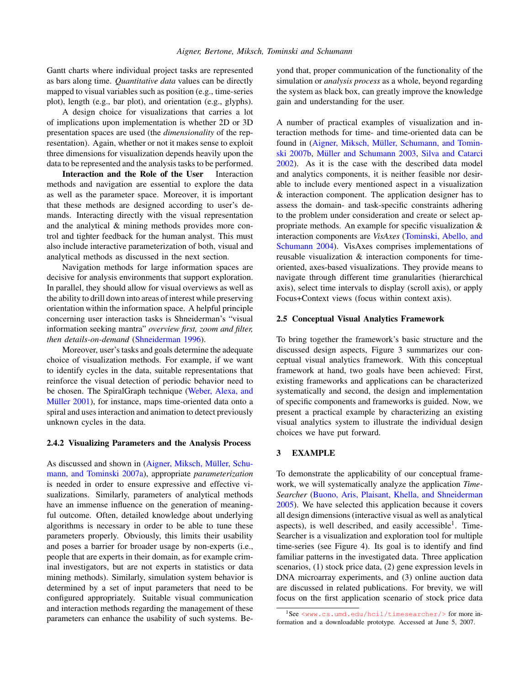Gantt charts where individual project tasks are represented as bars along time. *Quantitative data* values can be directly mapped to visual variables such as position (e.g., time-series plot), length (e.g., bar plot), and orientation (e.g., glyphs).

A design choice for visualizations that carries a lot of implications upon implementation is whether 2D or 3D presentation spaces are used (the *dimensionality* of the representation). Again, whether or not it makes sense to exploit three dimensions for visualization depends heavily upon the data to be represented and the analysis tasks to be performed.

Interaction and the Role of the User Interaction methods and navigation are essential to explore the data as well as the parameter space. Moreover, it is important that these methods are designed according to user's demands. Interacting directly with the visual representation and the analytical & mining methods provides more control and tighter feedback for the human analyst. This must also include interactive parameterization of both, visual and analytical methods as discussed in the next section.

Navigation methods for large information spaces are decisive for analysis environments that support exploration. In parallel, they should allow for visual overviews as well as the ability to drill down into areas of interest while preserving orientation within the information space. A helpful principle concerning user interaction tasks is Shneiderman's "visual information seeking mantra" *overview first, zoom and filter, then details-on-demand* [\(Shneiderman 1996\)](#page-8-11).

Moreover, user's tasks and goals determine the adequate choice of visualization methods. For example, if we want to identify cycles in the data, suitable representations that reinforce the visual detection of periodic behavior need to be chosen. The SpiralGraph technique [\(Weber, Alexa, and](#page-8-15) Müller 2001), for instance, maps time-oriented data onto a spiral and uses interaction and animation to detect previously unknown cycles in the data.

## 2.4.2 Visualizing Parameters and the Analysis Process

As discussed and shown in (Aigner, Miksch, Müller, Schu[mann, and Tominski 2007a\)](#page-7-2), appropriate *parameterization* is needed in order to ensure expressive and effective visualizations. Similarly, parameters of analytical methods have an immense influence on the generation of meaningful outcome. Often, detailed knowledge about underlying algorithms is necessary in order to be able to tune these parameters properly. Obviously, this limits their usability and poses a barrier for broader usage by non-experts (i.e., people that are experts in their domain, as for example criminal investigators, but are not experts in statistics or data mining methods). Similarly, simulation system behavior is determined by a set of input parameters that need to be configured appropriately. Suitable visual communication and interaction methods regarding the management of these parameters can enhance the usability of such systems. Beyond that, proper communication of the functionality of the simulation or *analysis process* as a whole, beyond regarding the system as black box, can greatly improve the knowledge gain and understanding for the user.

A number of practical examples of visualization and interaction methods for time- and time-oriented data can be found in (Aigner, Miksch, Müller, Schumann, and Tomin[ski 2007b,](#page-7-0) Müller and Schumann 2003, [Silva and Catarci](#page-8-16) [2002\)](#page-8-16). As it is the case with the described data model and analytics components, it is neither feasible nor desirable to include every mentioned aspect in a visualization & interaction component. The application designer has to assess the domain- and task-specific constraints adhering to the problem under consideration and create or select appropriate methods. An example for specific visualization & interaction components are *VisAxes* [\(Tominski, Abello, and](#page-8-17) [Schumann 2004\)](#page-8-17). VisAxes comprises implementations of reusable visualization & interaction components for timeoriented, axes-based visualizations. They provide means to navigate through different time granularities (hierarchical axis), select time intervals to display (scroll axis), or apply Focus+Context views (focus within context axis).

#### 2.5 Conceptual Visual Analytics Framework

To bring together the framework's basic structure and the discussed design aspects, Figure [3](#page-6-0) summarizes our conceptual visual analytics framework. With this conceptual framework at hand, two goals have been achieved: First, existing frameworks and applications can be characterized systematically and second, the design and implementation of specific components and frameworks is guided. Now, we present a practical example by characterizing an existing visual analytics system to illustrate the individual design choices we have put forward.

# 3 EXAMPLE

To demonstrate the applicability of our conceptual framework, we will systematically analyze the application *Time-Searcher* [\(Buono, Aris, Plaisant, Khella, and Shneiderman](#page-7-3) [2005\)](#page-7-3). We have selected this application because it covers all design dimensions (interactive visual as well as analytical aspects), is well described, and easily accessible<sup>[1](#page-5-0)</sup>. Time-Searcher is a visualization and exploration tool for multiple time-series (see Figure [4\)](#page-7-4). Its goal is to identify and find familiar patterns in the investigated data. Three application scenarios, (1) stock price data, (2) gene expression levels in DNA microarray experiments, and (3) online auction data are discussed in related publications. For brevity, we will focus on the first application scenario of stock price data

<span id="page-5-0"></span><sup>1</sup>See [<www.cs.umd.edu/hcil/timesearcher/>](http://www.cs.umd.edu/hcil/timesearcher/) for more information and a downloadable prototype. Accessed at June 5, 2007.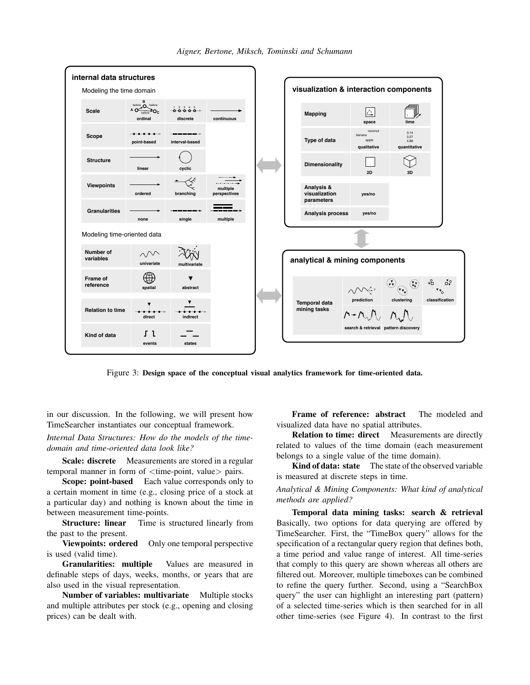

<span id="page-6-0"></span>Figure 3: Design space of the conceptual visual analytics framework for time-oriented data.

in our discussion. In the following, we will present how TimeSearcher instantiates our conceptual framework.

*Internal Data Structures: How do the models of the timedomain and time-oriented data look like?*

Scale: discrete Measurements are stored in a regular temporal manner in form of  $\langle$ time-point, value $\rangle$  pairs.

Scope: point-based Each value corresponds only to a certain moment in time (e.g., closing price of a stock at a particular day) and nothing is known about the time in between measurement time-points.

Structure: linear Time is structured linearly from the past to the present.

Viewpoints: ordered Only one temporal perspective is used (valid time).

Granularities: multiple Values are measured in definable steps of days, weeks, months, or years that are also used in the visual representation.

Number of variables: multivariate Multiple stocks and multiple attributes per stock (e.g., opening and closing prices) can be dealt with.

Frame of reference: abstract The modeled and visualized data have no spatial attributes.

Relation to time: direct Measurements are directly related to values of the time domain (each measurement belongs to a single value of the time domain).

Kind of data: state The state of the observed variable is measured at discrete steps in time.

*Analytical & Mining Components: What kind of analytical methods are applied?*

Temporal data mining tasks: search & retrieval Basically, two options for data querying are offered by TimeSearcher. First, the "TimeBox query" allows for the specification of a rectangular query region that defines both, a time period and value range of interest. All time-series that comply to this query are shown whereas all others are filtered out. Moreover, multiple timeboxes can be combined to refine the query further. Second, using a "SearchBox query" the user can highlight an interesting part (pattern) of a selected time-series which is then searched for in all other time-series (see Figure [4\)](#page-7-4). In contrast to the first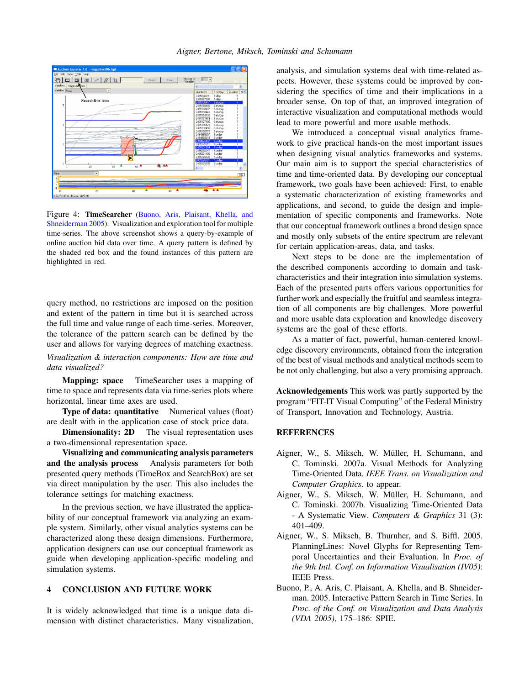

<span id="page-7-4"></span>Figure 4: TimeSearcher [\(Buono, Aris, Plaisant, Khella, and](#page-7-3) [Shneiderman 2005\)](#page-7-3). Visualization and exploration tool for multiple time-series. The above screenshot shows a query-by-example of online auction bid data over time. A query pattern is defined by the shaded red box and the found instances of this pattern are highlighted in red.

query method, no restrictions are imposed on the position and extent of the pattern in time but it is searched across the full time and value range of each time-series. Moreover, the tolerance of the pattern search can be defined by the user and allows for varying degrees of matching exactness.

*Visualization & interaction components: How are time and data visualized?*

Mapping: space TimeSearcher uses a mapping of time to space and represents data via time-series plots where horizontal, linear time axes are used.

**Type of data: quantitative** Numerical values (float) are dealt with in the application case of stock price data.

Dimensionality: 2D The visual representation uses a two-dimensional representation space.

Visualizing and communicating analysis parameters and the analysis process Analysis parameters for both presented query methods (TimeBox and SearchBox) are set via direct manipulation by the user. This also includes the tolerance settings for matching exactness.

In the previous section, we have illustrated the applicability of our conceptual framework via analyzing an example system. Similarly, other visual analytics systems can be characterized along these design dimensions. Furthermore, application designers can use our conceptual framework as guide when developing application-specific modeling and simulation systems.

## 4 CONCLUSION AND FUTURE WORK

It is widely acknowledged that time is a unique data dimension with distinct characteristics. Many visualization, analysis, and simulation systems deal with time-related aspects. However, these systems could be improved by considering the specifics of time and their implications in a broader sense. On top of that, an improved integration of interactive visualization and computational methods would lead to more powerful and more usable methods.

We introduced a conceptual visual analytics framework to give practical hands-on the most important issues when designing visual analytics frameworks and systems. Our main aim is to support the special characteristics of time and time-oriented data. By developing our conceptual framework, two goals have been achieved: First, to enable a systematic characterization of existing frameworks and applications, and second, to guide the design and implementation of specific components and frameworks. Note that our conceptual framework outlines a broad design space and mostly only subsets of the entire spectrum are relevant for certain application-areas, data, and tasks.

Next steps to be done are the implementation of the described components according to domain and taskcharacteristics and their integration into simulation systems. Each of the presented parts offers various opportunities for further work and especially the fruitful and seamless integration of all components are big challenges. More powerful and more usable data exploration and knowledge discovery systems are the goal of these efforts.

As a matter of fact, powerful, human-centered knowledge discovery environments, obtained from the integration of the best of visual methods and analytical methods seem to be not only challenging, but also a very promising approach.

Acknowledgements This work was partly supported by the program "FIT-IT Visual Computing" of the Federal Ministry of Transport, Innovation and Technology, Austria.

## **REFERENCES**

- <span id="page-7-2"></span>Aigner, W., S. Miksch, W. Müller, H. Schumann, and C. Tominski. 2007a. Visual Methods for Analyzing Time-Oriented Data. *IEEE Trans. on Visualization and Computer Graphics*. to appear.
- <span id="page-7-0"></span>Aigner, W., S. Miksch, W. Müller, H. Schumann, and C. Tominski. 2007b. Visualizing Time-Oriented Data - A Systematic View. *Computers & Graphics* 31 (3): 401–409.
- <span id="page-7-1"></span>Aigner, W., S. Miksch, B. Thurnher, and S. Biffl. 2005. PlanningLines: Novel Glyphs for Representing Temporal Uncertainties and their Evaluation. In *Proc. of the 9th Intl. Conf. on Information Visualisation (IV05)*: IEEE Press.
- <span id="page-7-3"></span>Buono, P., A. Aris, C. Plaisant, A. Khella, and B. Shneiderman. 2005. Interactive Pattern Search in Time Series. In *Proc. of the Conf. on Visualization and Data Analysis (VDA 2005)*, 175–186: SPIE.